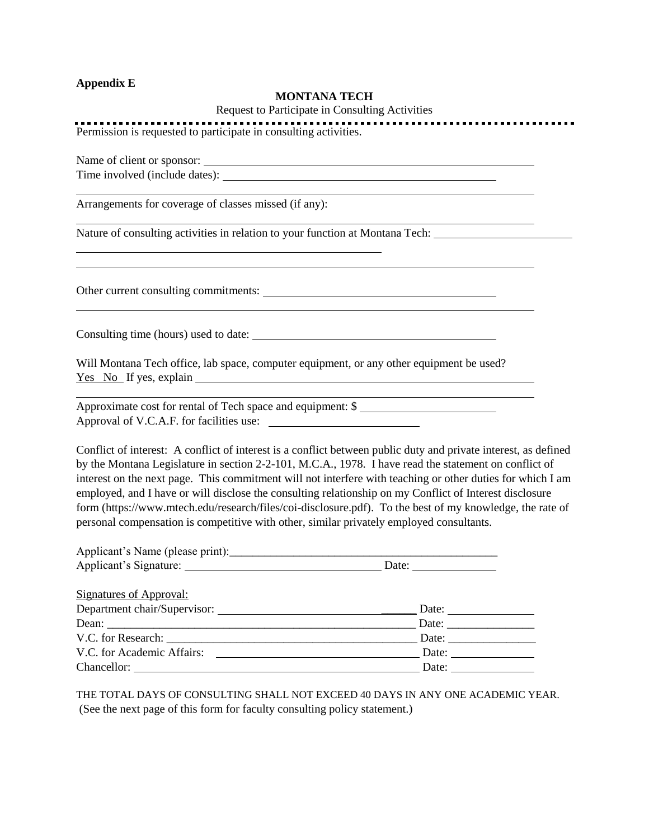### **Appendix E**

### **MONTANA TECH**

Request to Participate in Consulting Activities

Permission is requested to participate in consulting activities.

Name of client or sponsor:

Time involved (include dates):

Arrangements for coverage of classes missed (if any):

Nature of consulting activities in relation to your function at Montana Tech:

Other current consulting commitments:

Consulting time (hours) used to date:

Will Montana Tech office, lab space, computer equipment, or any other equipment be used? Yes No If yes, explain

Approximate cost for rental of Tech space and equipment: \$ Approval of V.C.A.F. for facilities use:

Conflict of interest: A conflict of interest is a conflict between public duty and private interest, as defined by the Montana Legislature in section 2-2-101, M.C.A., 1978. I have read the statement on conflict of interest on the next page. This commitment will not interfere with teaching or other duties for which I am employed, and I have or will disclose the consulting relationship on my Conflict of Interest disclosure form (https://www.mtech.edu/research/files/coi-disclosure.pdf). To the best of my knowledge, the rate of personal compensation is competitive with other, similar privately employed consultants.

|                                                                                                                                                                                                                               | Date: $\qquad \qquad \qquad$ |
|-------------------------------------------------------------------------------------------------------------------------------------------------------------------------------------------------------------------------------|------------------------------|
| <b>Signatures of Approval:</b>                                                                                                                                                                                                |                              |
|                                                                                                                                                                                                                               | Date: $\_\_$                 |
|                                                                                                                                                                                                                               | Date:                        |
| V.C. for Research: U.S. Sandwicklub and South Contract of the South Contract of the South Contract of the South Contract of the South Contract of the South Contract of the South Contract of the South Contract of the South | Date:                        |
| V.C. for Academic Affairs:                                                                                                                                                                                                    | Date:                        |
| Chancellor:                                                                                                                                                                                                                   | Date:                        |

THE TOTAL DAYS OF CONSULTING SHALL NOT EXCEED 40 DAYS IN ANY ONE ACADEMIC YEAR. (See the next page of this form for faculty consulting policy statement.)